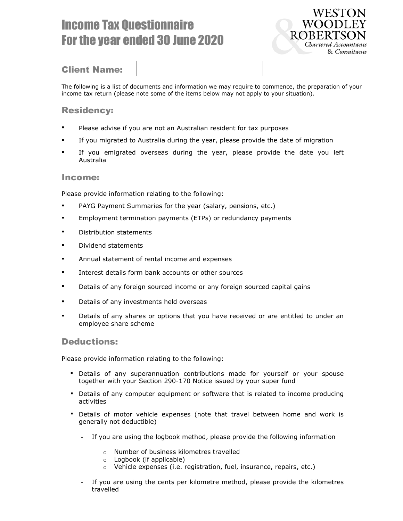# Income Tax Questionnaire For the year ended 30 June 2020



## Client Name:

The following is a list of documents and information we may require to commence, the preparation of your income tax return (please note some of the items below may not apply to your situation).

## Residency:

- Please advise if you are not an Australian resident for tax purposes
- If you migrated to Australia during the year, please provide the date of migration
- If you emigrated overseas during the year, please provide the date you left Australia

#### Income:

Please provide information relating to the following:

- PAYG Payment Summaries for the year (salary, pensions, etc.)
- Employment termination payments (ETPs) or redundancy payments
- **•** Distribution statements
- Dividend statements
- Annual statement of rental income and expenses
- **Interest details form bank accounts or other sources**
- Details of any foreign sourced income or any foreign sourced capital gains
- Details of any investments held overseas
- Details of any shares or options that you have received or are entitled to under an employee share scheme

#### Deductions:

Please provide information relating to the following:

- Details of any superannuation contributions made for yourself or your spouse together with your Section 290-170 Notice issued by your super fund
- **Details of any computer equipment or software that is related to income producing** activities
- Details of motor vehicle expenses (note that travel between home and work is generally not deductible)
	- If you are using the logbook method, please provide the following information
		- o Number of business kilometres travelled
		- o Logbook (if applicable)
		- o Vehicle expenses (i.e. registration, fuel, insurance, repairs, etc.)
	- If you are using the cents per kilometre method, please provide the kilometres travelled